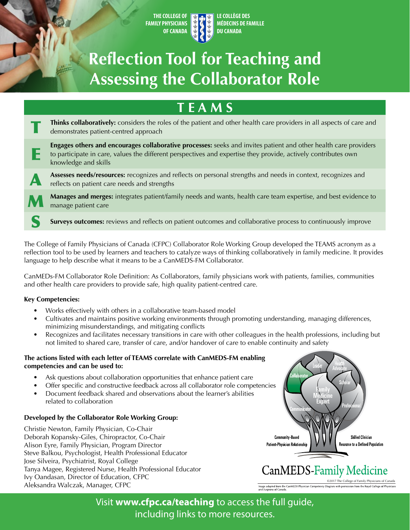**THE COLLEGE OF FAMILY PHYSICIANS OF CANADA** 

**LE COLLÈGE DES MÉDECINS DE FAMILLE DU CANADA** 

# **Reflection Tool for Teaching and Assessing the Collaborator Role**

## **T E A M S**  Thinks collaboratively: considers the roles of the patient and other health care providers in all aspects of care and demonstrates patient-centred approach **Engages others and encourages collaborative processes:** seeks and invites patient and other health care providers to participate in care, values the different perspectives and expertise they provide, actively contributes own knowledge and skills **Assesses needs/resources:** recognizes and reflects on personal strengths and needs in context, recognizes and reflects on patient care needs and strengths **Manages and merges:** integrates patient/family needs and wants, health care team expertise, and best evidence to manage patient care E A M Surveys outcomes: reviews and reflects on patient outcomes and collaborative process to continuously improve

The College of Family Physicians of Canada (CFPC) Collaborator Role Working Group developed the TEAMS acronym as a reflection tool to be used by learners and teachers to catalyze ways of thinking collaboratively in family medicine. It provides language to help describe what it means to be a CanMEDS-FM Collaborator.

CanMEDs-FM Collaborator Role Definition: As Collaborators, family physicians work with patients, families, communities and other health care providers to provide safe, high quality patient-centred care.

## **Key Competencies:**

- Works effectively with others in a collaborative team-based model
- Cultivates and maintains positive working environments through promoting understanding, managing differences, minimizing misunderstandings, and mitigating conflicts
- Recognizes and facilitates necessary transitions in care with other colleagues in the health professions, including but not limited to shared care, transfer of care, and/or handover of care to enable continuity and safety

### **The actions listed with each letter of TEAMS correlate with CanMEDS-FM enab ling competencies and can be used to:**

- Ask questions about collaboration opportunities that enhance patient care
- Offer specific and constructive feedback across all collaborator role competencies
- Document feedback shared and observations about the learner's abilities related to collaboration

## **Developed by the Collaborator Role Working Group:**

Christie Newton, Family Physician, Co-Chair Deborah Kopansky-Giles, Chiropractor, Co-Chair Alison Eyre, Family Physician, Program Director Steve Balkou, Psychologist, Health Professional Educator Jose Silveira, Psychiatrist, Royal College Tanya Magee, Registered Nurse, Health Professional Educator Ivy Oandasan, Director of Education, CFPC Aleksandra Walczak, Manager, CFPC



CanMEDS-Family Medicine

©2017 The College of Family Physicians of Canada Image adapted from the CanMEDS Physician Competency<br>and Surgeons of Canada.

Visit **www.cfpc.ca/teaching** to access the full guide, including links to more resources.